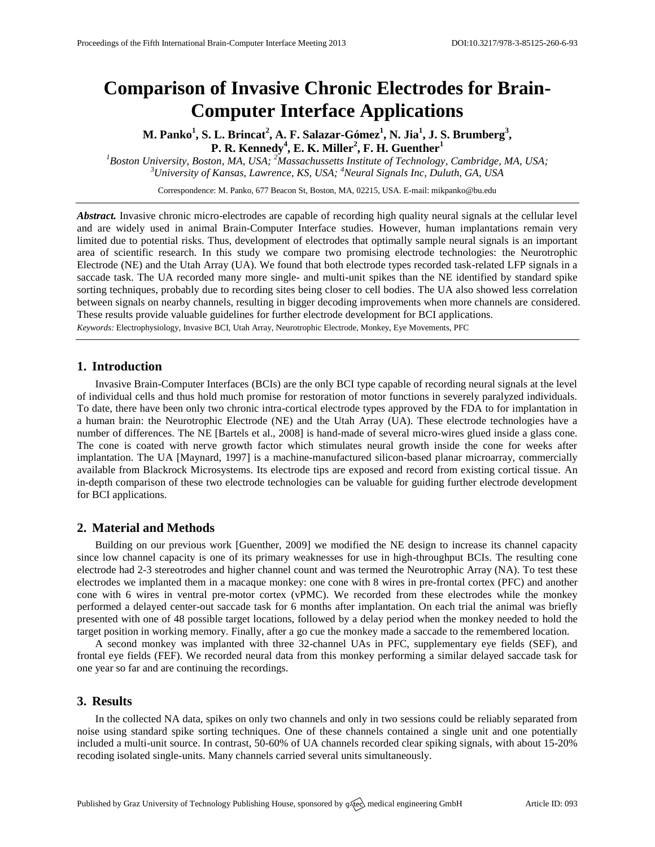# **Comparison of Invasive Chronic Electrodes for Brain-Computer Interface Applications**

**M. Panko<sup>1</sup> , S. L. Brincat<sup>2</sup> , A. F. Salazar-Gómez<sup>1</sup> , N. Jia<sup>1</sup> , J. S. Brumberg<sup>3</sup> , P. R. Kennedy<sup>4</sup> , E. K. Miller<sup>2</sup> , F. H. Guenther<sup>1</sup>**

*<sup>1</sup>Boston University, Boston, MA, USA; <sup>2</sup>Massachussetts Institute of Technology, Cambridge, MA, USA; <sup>3</sup>University of Kansas, Lawrence, KS, USA; <sup>4</sup>Neural Signals Inc, Duluth, GA, USA*

Correspondence: M. Panko, 677 Beacon St, Boston, MA, 02215, USA. E-mail[: mikpanko@bu.edu](mailto:mikpanko@bu.edu)

*Abstract.* Invasive chronic micro-electrodes are capable of recording high quality neural signals at the cellular level and are widely used in animal Brain-Computer Interface studies. However, human implantations remain very limited due to potential risks. Thus, development of electrodes that optimally sample neural signals is an important area of scientific research. In this study we compare two promising electrode technologies: the Neurotrophic Electrode (NE) and the Utah Array (UA). We found that both electrode types recorded task-related LFP signals in a saccade task. The UA recorded many more single- and multi-unit spikes than the NE identified by standard spike sorting techniques, probably due to recording sites being closer to cell bodies. The UA also showed less correlation between signals on nearby channels, resulting in bigger decoding improvements when more channels are considered. These results provide valuable guidelines for further electrode development for BCI applications.

*Keywords:* Electrophysiology, Invasive BCI, Utah Array, Neurotrophic Electrode, Monkey, Eye Movements, PFC

### **1. Introduction**

Invasive Brain-Computer Interfaces (BCIs) are the only BCI type capable of recording neural signals at the level of individual cells and thus hold much promise for restoration of motor functions in severely paralyzed individuals. To date, there have been only two chronic intra-cortical electrode types approved by the FDA to for implantation in a human brain: the Neurotrophic Electrode (NE) and the Utah Array (UA). These electrode technologies have a number of differences. The NE [Bartels et al., 2008] is hand-made of several micro-wires glued inside a glass cone. The cone is coated with nerve growth factor which stimulates neural growth inside the cone for weeks after implantation. The UA [Maynard, 1997] is a machine-manufactured silicon-based planar microarray, commercially available from Blackrock Microsystems. Its electrode tips are exposed and record from existing cortical tissue. An in-depth comparison of these two electrode technologies can be valuable for guiding further electrode development for BCI applications.

## **2. Material and Methods**

Building on our previous work [Guenther, 2009] we modified the NE design to increase its channel capacity since low channel capacity is one of its primary weaknesses for use in high-throughput BCIs. The resulting cone electrode had 2-3 stereotrodes and higher channel count and was termed the Neurotrophic Array (NA). To test these electrodes we implanted them in a macaque monkey: one cone with 8 wires in pre-frontal cortex (PFC) and another cone with 6 wires in ventral pre-motor cortex (vPMC). We recorded from these electrodes while the monkey performed a delayed center-out saccade task for 6 months after implantation. On each trial the animal was briefly presented with one of 48 possible target locations, followed by a delay period when the monkey needed to hold the target position in working memory. Finally, after a go cue the monkey made a saccade to the remembered location.

A second monkey was implanted with three 32-channel UAs in PFC, supplementary eye fields (SEF), and frontal eye fields (FEF). We recorded neural data from this monkey performing a similar delayed saccade task for one year so far and are continuing the recordings.

# **3. Results**

In the collected NA data, spikes on only two channels and only in two sessions could be reliably separated from noise using standard spike sorting techniques. One of these channels contained a single unit and one potentially included a multi-unit source. In contrast, 50-60% of UA channels recorded clear spiking signals, with about 15-20% recoding isolated single-units. Many channels carried several units simultaneously.